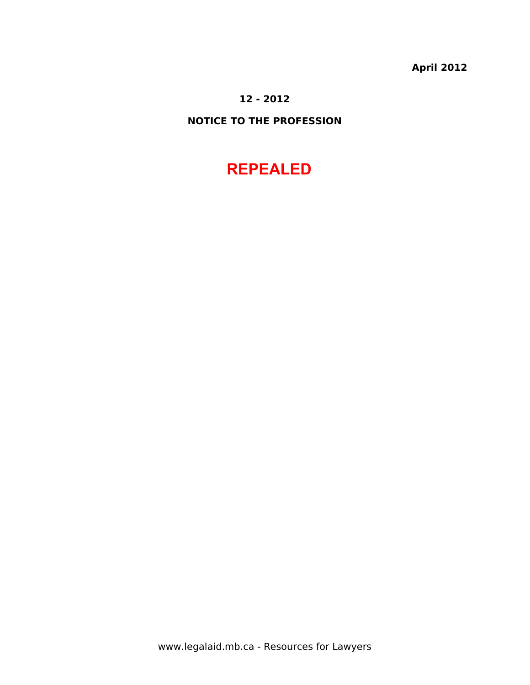**April 2012**

# **12 - 2012**

# **NOTICE TO THE PROFESSION**

# **REPEALED**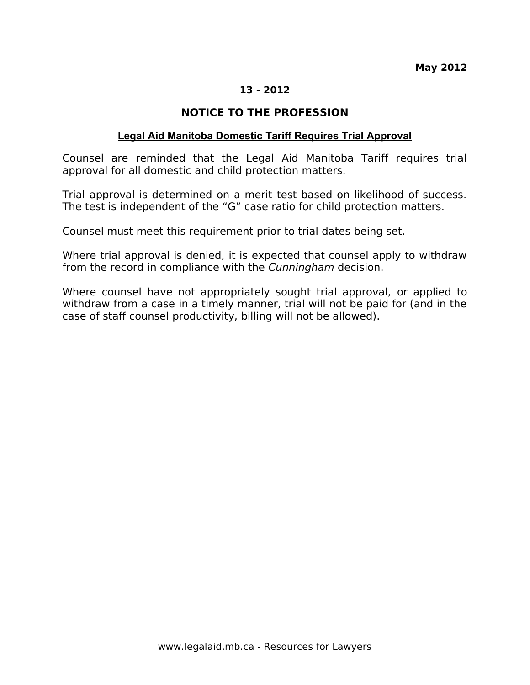# **NOTICE TO THE PROFESSION**

### **Legal Aid Manitoba Domestic Tariff Requires Trial Approval**

Counsel are reminded that the Legal Aid Manitoba Tariff requires trial approval for all domestic and child protection matters.

Trial approval is determined on a merit test based on likelihood of success. The test is independent of the "G" case ratio for child protection matters.

Counsel must meet this requirement prior to trial dates being set.

Where trial approval is denied, it is expected that counsel apply to withdraw from the record in compliance with the Cunningham decision.

Where counsel have not appropriately sought trial approval, or applied to withdraw from a case in a timely manner, trial will not be paid for (and in the case of staff counsel productivity, billing will not be allowed).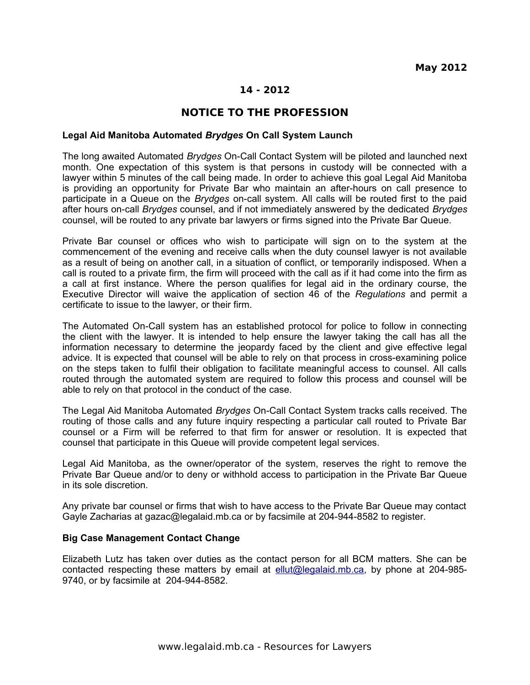## **NOTICE TO THE PROFESSION**

#### **Legal Aid Manitoba Automated** *Brydges* **On Call System Launch**

The long awaited Automated *Brydges* On-Call Contact System will be piloted and launched next month. One expectation of this system is that persons in custody will be connected with a lawyer within 5 minutes of the call being made. In order to achieve this goal Legal Aid Manitoba is providing an opportunity for Private Bar who maintain an after-hours on call presence to participate in a Queue on the *Brydges* on-call system. All calls will be routed first to the paid after hours on-call *Brydges* counsel, and if not immediately answered by the dedicated *Brydges* counsel, will be routed to any private bar lawyers or firms signed into the Private Bar Queue.

Private Bar counsel or offices who wish to participate will sign on to the system at the commencement of the evening and receive calls when the duty counsel lawyer is not available as a result of being on another call, in a situation of conflict, or temporarily indisposed. When a call is routed to a private firm, the firm will proceed with the call as if it had come into the firm as a call at first instance. Where the person qualifies for legal aid in the ordinary course, the Executive Director will waive the application of section 46 of the *Regulations* and permit a certificate to issue to the lawyer, or their firm.

The Automated On-Call system has an established protocol for police to follow in connecting the client with the lawyer. It is intended to help ensure the lawyer taking the call has all the information necessary to determine the jeopardy faced by the client and give effective legal advice. It is expected that counsel will be able to rely on that process in cross-examining police on the steps taken to fulfil their obligation to facilitate meaningful access to counsel. All calls routed through the automated system are required to follow this process and counsel will be able to rely on that protocol in the conduct of the case.

The Legal Aid Manitoba Automated *Brydges* On-Call Contact System tracks calls received. The routing of those calls and any future inquiry respecting a particular call routed to Private Bar counsel or a Firm will be referred to that firm for answer or resolution. It is expected that counsel that participate in this Queue will provide competent legal services.

Legal Aid Manitoba, as the owner/operator of the system, reserves the right to remove the Private Bar Queue and/or to deny or withhold access to participation in the Private Bar Queue in its sole discretion.

Any private bar counsel or firms that wish to have access to the Private Bar Queue may contact Gayle Zacharias at gazac@legalaid.mb.ca or by facsimile at 204-944-8582 to register.

#### **Big Case Management Contact Change**

Elizabeth Lutz has taken over duties as the contact person for all BCM matters. She can be contacted respecting these matters by email at [ellut@legalaid.mb.ca,](mailto:ellut@legalaid.mb.ca) by phone at 204-985-9740, or by facsimile at 204-944-8582.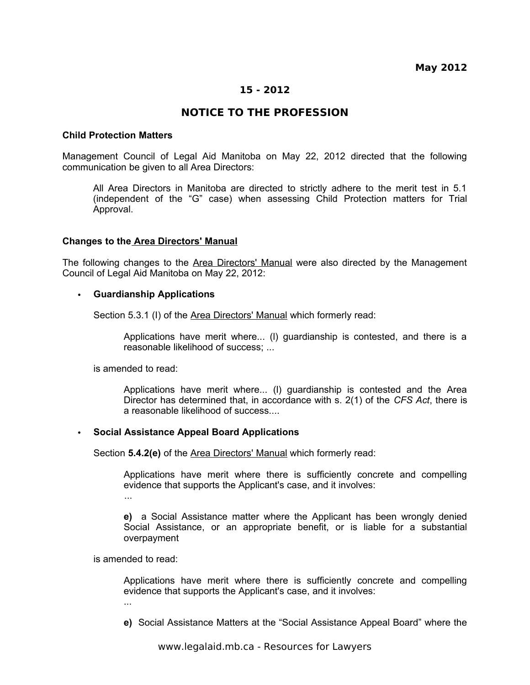**May 2012**

### **15 - 2012**

### **NOTICE TO THE PROFESSION**

#### **Child Protection Matters**

Management Council of Legal Aid Manitoba on May 22, 2012 directed that the following communication be given to all Area Directors:

All Area Directors in Manitoba are directed to strictly adhere to the merit test in 5.1 (independent of the "G" case) when assessing Child Protection matters for Trial Approval.

### **Changes to the Area Directors' Manual**

The following changes to the Area Directors' Manual were also directed by the Management Council of Legal Aid Manitoba on May 22, 2012:

#### • **Guardianship Applications**

Section 5.3.1 (I) of the Area Directors' Manual which formerly read:

Applications have merit where... (l) guardianship is contested, and there is a reasonable likelihood of success; ...

is amended to read:

Applications have merit where... (l) guardianship is contested and the Area Director has determined that, in accordance with s. 2(1) of the *CFS Act*, there is a reasonable likelihood of success....

### • **Social Assistance Appeal Board Applications**

Section **5.4.2(e)** of the Area Directors' Manual which formerly read:

Applications have merit where there is sufficiently concrete and compelling evidence that supports the Applicant's case, and it involves: ...

**e)** a Social Assistance matter where the Applicant has been wrongly denied Social Assistance, or an appropriate benefit, or is liable for a substantial overpayment

is amended to read:

Applications have merit where there is sufficiently concrete and compelling evidence that supports the Applicant's case, and it involves:

...

**e)** Social Assistance Matters at the "Social Assistance Appeal Board" where the

www.legalaid.mb.ca - Resources for Lawyers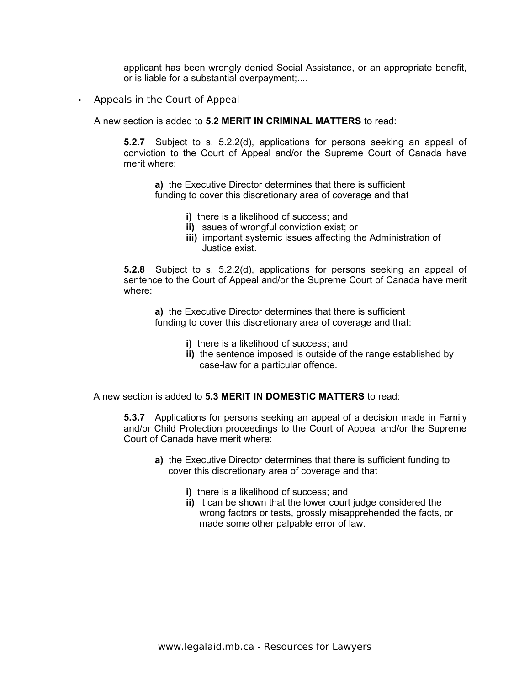applicant has been wrongly denied Social Assistance, or an appropriate benefit, or is liable for a substantial overpayment;....

• Appeals in the Court of Appeal

A new section is added to **5.2 MERIT IN CRIMINAL MATTERS** to read:

**5.2.7** Subject to s. 5.2.2(d), applications for persons seeking an appeal of conviction to the Court of Appeal and/or the Supreme Court of Canada have merit where:

**a)** the Executive Director determines that there is sufficient funding to cover this discretionary area of coverage and that

- **i)** there is a likelihood of success; and
- **ii)** issues of wrongful conviction exist; or
- **iii)** important systemic issues affecting the Administration of Justice exist.

**5.2.8** Subject to s. 5.2.2(d), applications for persons seeking an appeal of sentence to the Court of Appeal and/or the Supreme Court of Canada have merit where:

**a)** the Executive Director determines that there is sufficient funding to cover this discretionary area of coverage and that:

- **i)** there is a likelihood of success; and
- **ii)** the sentence imposed is outside of the range established by case-law for a particular offence.

A new section is added to **5.3 MERIT IN DOMESTIC MATTERS** to read:

**5.3.7** Applications for persons seeking an appeal of a decision made in Family and/or Child Protection proceedings to the Court of Appeal and/or the Supreme Court of Canada have merit where:

- **a)** the Executive Director determines that there is sufficient funding to cover this discretionary area of coverage and that
	- **i)** there is a likelihood of success; and
	- **ii)** it can be shown that the lower court judge considered the wrong factors or tests, grossly misapprehended the facts, or made some other palpable error of law.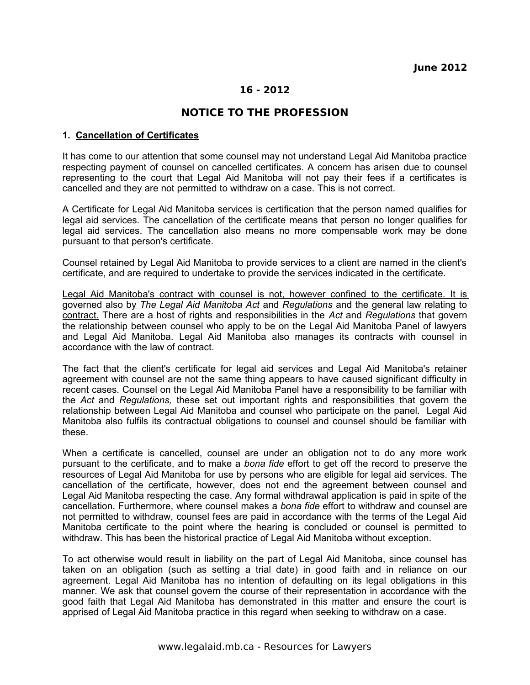# **NOTICE TO THE PROFESSION**

### **1. Cancellation of Certificates**

It has come to our attention that some counsel may not understand Legal Aid Manitoba practice respecting payment of counsel on cancelled certificates. A concern has arisen due to counsel representing to the court that Legal Aid Manitoba will not pay their fees if a certificates is cancelled and they are not permitted to withdraw on a case. This is not correct.

A Certificate for Legal Aid Manitoba services is certification that the person named qualifies for legal aid services. The cancellation of the certificate means that person no longer qualifies for legal aid services. The cancellation also means no more compensable work may be done pursuant to that person's certificate.

Counsel retained by Legal Aid Manitoba to provide services to a client are named in the client's certificate, and are required to undertake to provide the services indicated in the certificate.

Legal Aid Manitoba's contract with counsel is not, however confined to the certificate. It is governed also by *The Legal Aid Manitoba Act* and *Regulations* and the general law relating to contract. There are a host of rights and responsibilities in the *Act* and *Regulations* that govern the relationship between counsel who apply to be on the Legal Aid Manitoba Panel of lawyers and Legal Aid Manitoba. Legal Aid Manitoba also manages its contracts with counsel in accordance with the law of contract.

The fact that the client's certificate for legal aid services and Legal Aid Manitoba's retainer agreement with counsel are not the same thing appears to have caused significant difficulty in recent cases. Counsel on the Legal Aid Manitoba Panel have a responsibility to be familiar with the *Act* and *Regulations,* these set out important rights and responsibilities that govern the relationship between Legal Aid Manitoba and counsel who participate on the panel. Legal Aid Manitoba also fulfils its contractual obligations to counsel and counsel should be familiar with these.

When a certificate is cancelled, counsel are under an obligation not to do any more work pursuant to the certificate, and to make a *bona fide* effort to get off the record to preserve the resources of Legal Aid Manitoba for use by persons who are eligible for legal aid services. The cancellation of the certificate, however, does not end the agreement between counsel and Legal Aid Manitoba respecting the case. Any formal withdrawal application is paid in spite of the cancellation. Furthermore, where counsel makes a *bona fide* effort to withdraw and counsel are not permitted to withdraw, counsel fees are paid in accordance with the terms of the Legal Aid Manitoba certificate to the point where the hearing is concluded or counsel is permitted to withdraw. This has been the historical practice of Legal Aid Manitoba without exception.

To act otherwise would result in liability on the part of Legal Aid Manitoba, since counsel has taken on an obligation (such as setting a trial date) in good faith and in reliance on our agreement. Legal Aid Manitoba has no intention of defaulting on its legal obligations in this manner. We ask that counsel govern the course of their representation in accordance with the good faith that Legal Aid Manitoba has demonstrated in this matter and ensure the court is apprised of Legal Aid Manitoba practice in this regard when seeking to withdraw on a case.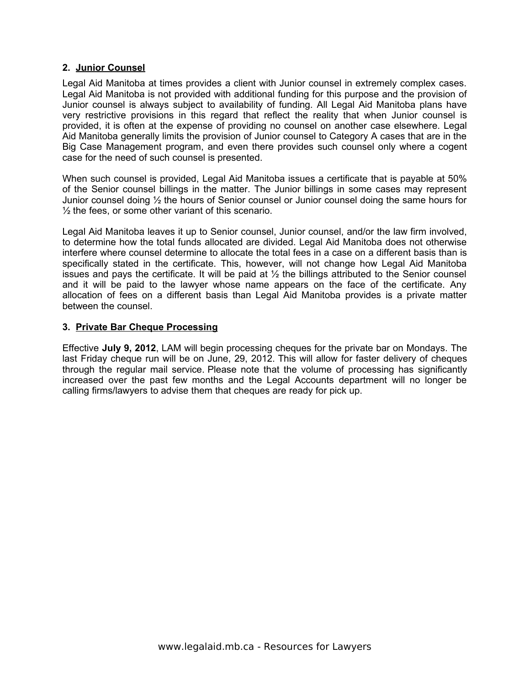### **2. Junior Counsel**

Legal Aid Manitoba at times provides a client with Junior counsel in extremely complex cases. Legal Aid Manitoba is not provided with additional funding for this purpose and the provision of Junior counsel is always subject to availability of funding. All Legal Aid Manitoba plans have very restrictive provisions in this regard that reflect the reality that when Junior counsel is provided, it is often at the expense of providing no counsel on another case elsewhere. Legal Aid Manitoba generally limits the provision of Junior counsel to Category A cases that are in the Big Case Management program, and even there provides such counsel only where a cogent case for the need of such counsel is presented.

When such counsel is provided, Legal Aid Manitoba issues a certificate that is payable at 50% of the Senior counsel billings in the matter. The Junior billings in some cases may represent Junior counsel doing ½ the hours of Senior counsel or Junior counsel doing the same hours for  $\frac{1}{2}$  the fees, or some other variant of this scenario.

Legal Aid Manitoba leaves it up to Senior counsel, Junior counsel, and/or the law firm involved, to determine how the total funds allocated are divided. Legal Aid Manitoba does not otherwise interfere where counsel determine to allocate the total fees in a case on a different basis than is specifically stated in the certificate. This, however, will not change how Legal Aid Manitoba issues and pays the certificate. It will be paid at  $\frac{1}{2}$  the billings attributed to the Senior counsel and it will be paid to the lawyer whose name appears on the face of the certificate. Any allocation of fees on a different basis than Legal Aid Manitoba provides is a private matter between the counsel.

### **3. Private Bar Cheque Processing**

Effective **July 9, 2012**, LAM will begin processing cheques for the private bar on Mondays. The last Friday cheque run will be on June, 29, 2012. This will allow for faster delivery of cheques through the regular mail service. Please note that the volume of processing has significantly increased over the past few months and the Legal Accounts department will no longer be calling firms/lawyers to advise them that cheques are ready for pick up.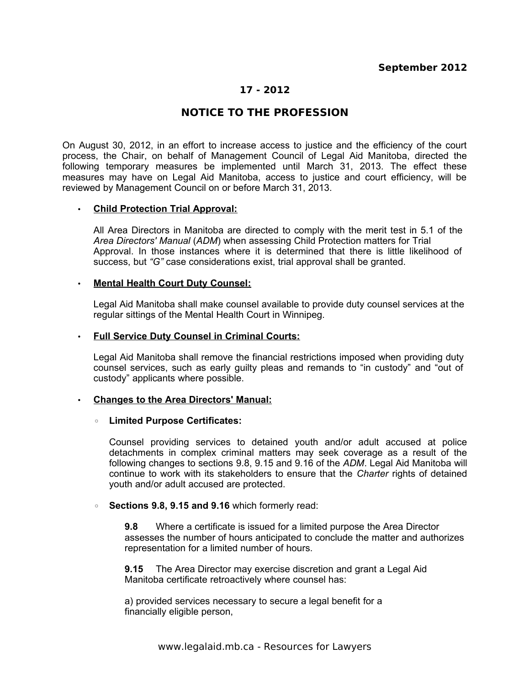# **NOTICE TO THE PROFESSION**

On August 30, 2012, in an effort to increase access to justice and the efficiency of the court process, the Chair, on behalf of Management Council of Legal Aid Manitoba, directed the following temporary measures be implemented until March 31, 2013. The effect these measures may have on Legal Aid Manitoba, access to justice and court efficiency, will be reviewed by Management Council on or before March 31, 2013.

### • **Child Protection Trial Approval:**

All Area Directors in Manitoba are directed to comply with the merit test in 5.1 of the *Area Directors' Manual* (*ADM*) when assessing Child Protection matters for Trial Approval. In those instances where it is determined that there is little likelihood of success, but *"G"* case considerations exist, trial approval shall be granted.

### • **Mental Health Court Duty Counsel:**

Legal Aid Manitoba shall make counsel available to provide duty counsel services at the regular sittings of the Mental Health Court in Winnipeg.

### • **Full Service Duty Counsel in Criminal Courts:**

Legal Aid Manitoba shall remove the financial restrictions imposed when providing duty counsel services, such as early guilty pleas and remands to "in custody" and "out of custody" applicants where possible.

### • **Changes to the Area Directors' Manual:**

### ◦ **Limited Purpose Certificates:**

Counsel providing services to detained youth and/or adult accused at police detachments in complex criminal matters may seek coverage as a result of the following changes to sections 9.8, 9.15 and 9.16 of the *ADM*. Legal Aid Manitoba will continue to work with its stakeholders to ensure that the *Charter* rights of detained youth and/or adult accused are protected.

### ◦ **Sections 9.8, 9.15 and 9.16** which formerly read:

**9.8** Where a certificate is issued for a limited purpose the Area Director assesses the number of hours anticipated to conclude the matter and authorizes representation for a limited number of hours.

**9.15** The Area Director may exercise discretion and grant a Legal Aid Manitoba certificate retroactively where counsel has:

a) provided services necessary to secure a legal benefit for a financially eligible person,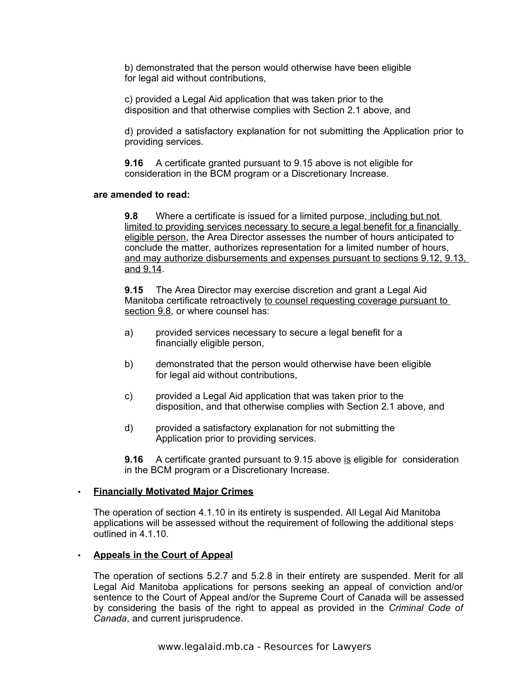b) demonstrated that the person would otherwise have been eligible for legal aid without contributions,

c) provided a Legal Aid application that was taken prior to the disposition and that otherwise complies with Section 2.1 above, and

d) provided a satisfactory explanation for not submitting the Application prior to providing services.

**9.16** A certificate granted pursuant to 9.15 above is not eligible for consideration in the BCM program or a Discretionary Increase.

### **are amended to read:**

**9.8** Where a certificate is issued for a limited purpose, including but not limited to providing services necessary to secure a legal benefit for a financially eligible person, the Area Director assesses the number of hours anticipated to conclude the matter, authorizes representation for a limited number of hours, and may authorize disbursements and expenses pursuant to sections 9.12, 9.13, and 9.14.

**9.15** The Area Director may exercise discretion and grant a Legal Aid Manitoba certificate retroactively to counsel requesting coverage pursuant to section 9.8, or where counsel has:

- a) provided services necessary to secure a legal benefit for a financially eligible person,
- b) demonstrated that the person would otherwise have been eligible for legal aid without contributions,
- c) provided a Legal Aid application that was taken prior to the disposition, and that otherwise complies with Section 2.1 above, and
- d) provided a satisfactory explanation for not submitting the Application prior to providing services.

**9.16** A certificate granted pursuant to 9.15 above is eligible for consideration in the BCM program or a Discretionary Increase.

### • **Financially Motivated Major Crimes**

The operation of section 4.1.10 in its entirety is suspended. All Legal Aid Manitoba applications will be assessed without the requirement of following the additional steps outlined in 4.1.10.

### • **Appeals in the Court of Appeal**

The operation of sections 5.2.7 and 5.2.8 in their entirety are suspended. Merit for all Legal Aid Manitoba applications for persons seeking an appeal of conviction and/or sentence to the Court of Appeal and/or the Supreme Court of Canada will be assessed by considering the basis of the right to appeal as provided in the *Criminal Code of Canada*, and current jurisprudence.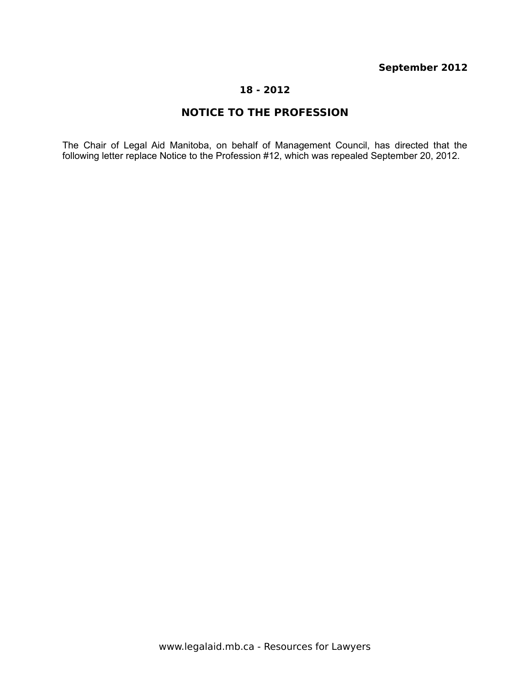# **September 2012**

### **18 - 2012**

# **NOTICE TO THE PROFESSION**

The Chair of Legal Aid Manitoba, on behalf of Management Council, has directed that the following letter replace Notice to the Profession #12, which was repealed September 20, 2012.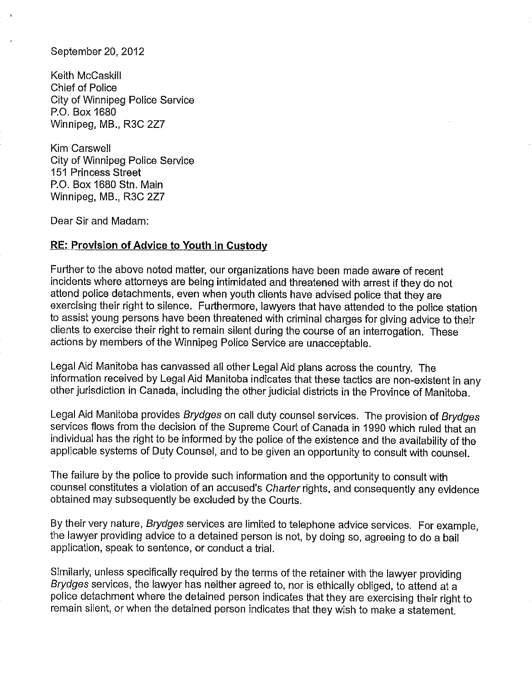September 20, 2012

Keith McCaskill **Chief of Police City of Winnipeg Police Service** P.O. Box 1680 Winnipeg, MB., R3C 2Z7

Kim Carswell **City of Winnipeg Police Service 151 Princess Street** P.O. Box 1680 Stn. Main Winnipeg, MB., R3C 2Z7

Dear Sir and Madam:

### **RE: Provision of Advice to Youth in Custody**

Further to the above noted matter, our organizations have been made aware of recent incidents where attorneys are being intimidated and threatened with arrest if they do not attend police detachments, even when youth clients have advised police that they are exercising their right to silence. Furthermore, lawyers that have attended to the police station to assist young persons have been threatened with criminal charges for giving advice to their clients to exercise their right to remain silent during the course of an interrogation. These actions by members of the Winnipeg Police Service are unacceptable.

Legal Aid Manitoba has canvassed all other Legal Aid plans across the country. The information received by Legal Aid Manitoba indicates that these tactics are non-existent in any other jurisdiction in Canada, including the other judicial districts in the Province of Manitoba.

Legal Aid Manitoba provides Brydges on call duty counsel services. The provision of Brydges services flows from the decision of the Supreme Court of Canada in 1990 which ruled that an individual has the right to be informed by the police of the existence and the availability of the applicable systems of Duty Counsel, and to be given an opportunity to consult with counsel.

The failure by the police to provide such information and the opportunity to consult with counsel constitutes a violation of an accused's Charter rights, and consequently any evidence obtained may subsequently be excluded by the Courts.

By their very nature, Brydges services are limited to telephone advice services. For example, the lawyer providing advice to a detained person is not, by doing so, agreeing to do a bail application, speak to sentence, or conduct a trial.

Similarly, unless specifically required by the terms of the retainer with the lawyer providing Brydges services, the lawyer has neither agreed to, nor is ethically obliged, to attend at a police detachment where the detained person indicates that they are exercising their right to remain silent, or when the detained person indicates that they wish to make a statement.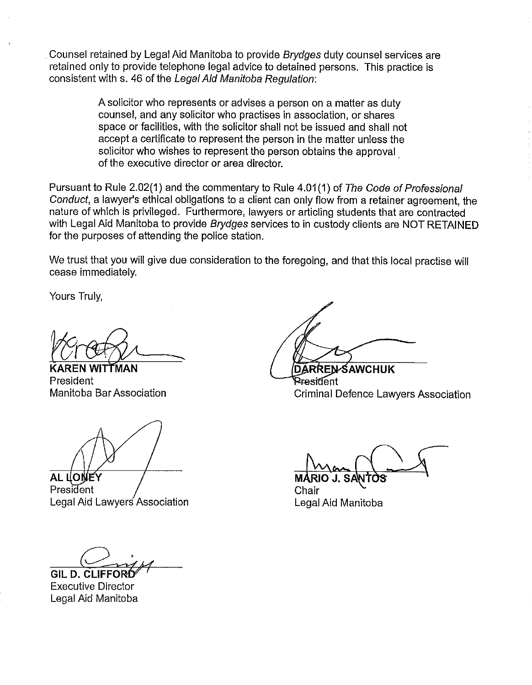Counsel retained by Legal Aid Manitoba to provide Brydges duty counsel services are retained only to provide telephone legal advice to detained persons. This practice is consistent with s. 46 of the Legal Aid Manitoba Regulation:

> A solicitor who represents or advises a person on a matter as duty counsel, and any solicitor who practises in association, or shares space or facilities, with the solicitor shall not be issued and shall not accept a certificate to represent the person in the matter unless the solicitor who wishes to represent the person obtains the approval of the executive director or area director.

Pursuant to Rule 2.02(1) and the commentary to Rule 4.01(1) of The Code of Professional Conduct, a lawyer's ethical obligations to a client can only flow from a retainer agreement, the nature of which is privileged. Furthermore, lawyers or articling students that are contracted with Legal Aid Manitoba to provide Brydges services to in custody clients are NOT RETAINED for the purposes of attending the police station.

We trust that you will give due consideration to the foregoing, and that this local practise will cease immediately.

Yours Truly,

**WITTMAN** President Manitoba Bar Association

**AL LONEY** 

President Legal Aid Lawyers Association

GIL D. CLIFFOI

**Executive Director** Legal Aid Manitoba

**DARREN-SAWCHUK** President **Criminal Defence Lawyers Association** 

Chair Legal Aid Manitoba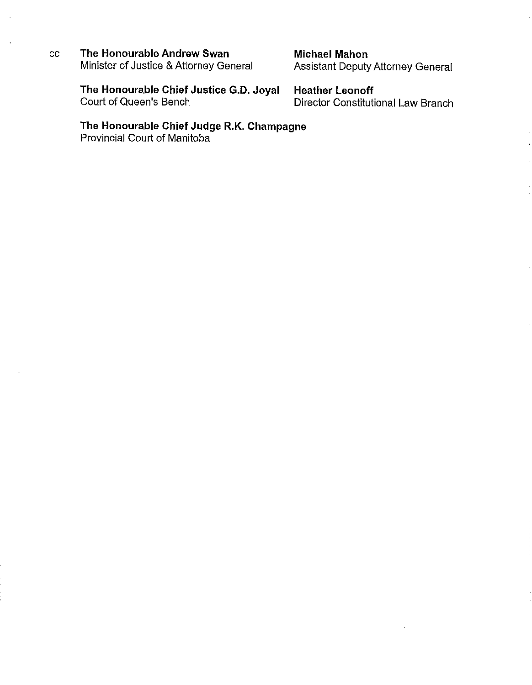The Honourable Andrew Swan  $cc$ Minister of Justice & Attorney General **Michael Mahon Assistant Deputy Attorney General** 

The Honourable Chief Justice G.D. Joyal Court of Queen's Bench

**Heather Leonoff Director Constitutional Law Branch** 

Ť

The Honourable Chief Judge R.K. Champagne Provincial Court of Manitoba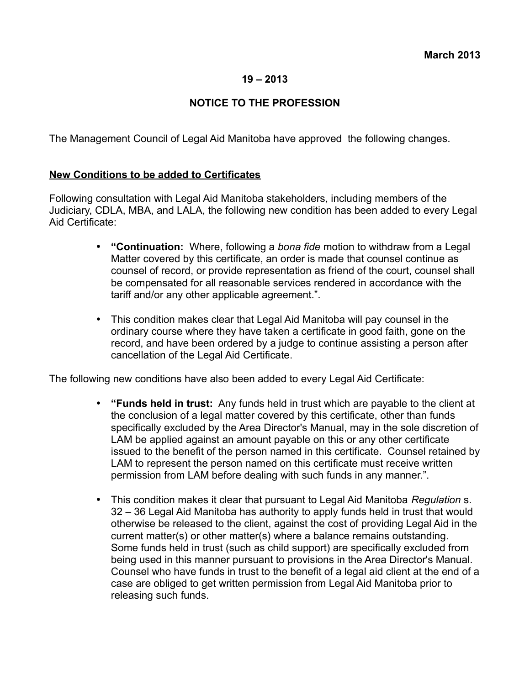### **19 – 2013**

# **NOTICE TO THE PROFESSION**

The Management Council of Legal Aid Manitoba have approved the following changes.

## **New Conditions to be added to Certificates**

Following consultation with Legal Aid Manitoba stakeholders, including members of the Judiciary, CDLA, MBA, and LALA, the following new condition has been added to every Legal Aid Certificate:

- **"Continuation:** Where, following a *bona fide* motion to withdraw from a Legal Matter covered by this certificate, an order is made that counsel continue as counsel of record, or provide representation as friend of the court, counsel shall be compensated for all reasonable services rendered in accordance with the tariff and/or any other applicable agreement.".
- This condition makes clear that Legal Aid Manitoba will pay counsel in the ordinary course where they have taken a certificate in good faith, gone on the record, and have been ordered by a judge to continue assisting a person after cancellation of the Legal Aid Certificate.

The following new conditions have also been added to every Legal Aid Certificate:

- **"Funds held in trust:** Any funds held in trust which are payable to the client at the conclusion of a legal matter covered by this certificate, other than funds specifically excluded by the Area Director's Manual, may in the sole discretion of LAM be applied against an amount payable on this or any other certificate issued to the benefit of the person named in this certificate. Counsel retained by LAM to represent the person named on this certificate must receive written permission from LAM before dealing with such funds in any manner.".
- This condition makes it clear that pursuant to Legal Aid Manitoba *Regulation* s. 32 – 36 Legal Aid Manitoba has authority to apply funds held in trust that would otherwise be released to the client, against the cost of providing Legal Aid in the current matter(s) or other matter(s) where a balance remains outstanding. Some funds held in trust (such as child support) are specifically excluded from being used in this manner pursuant to provisions in the Area Director's Manual. Counsel who have funds in trust to the benefit of a legal aid client at the end of a case are obliged to get written permission from Legal Aid Manitoba prior to releasing such funds.